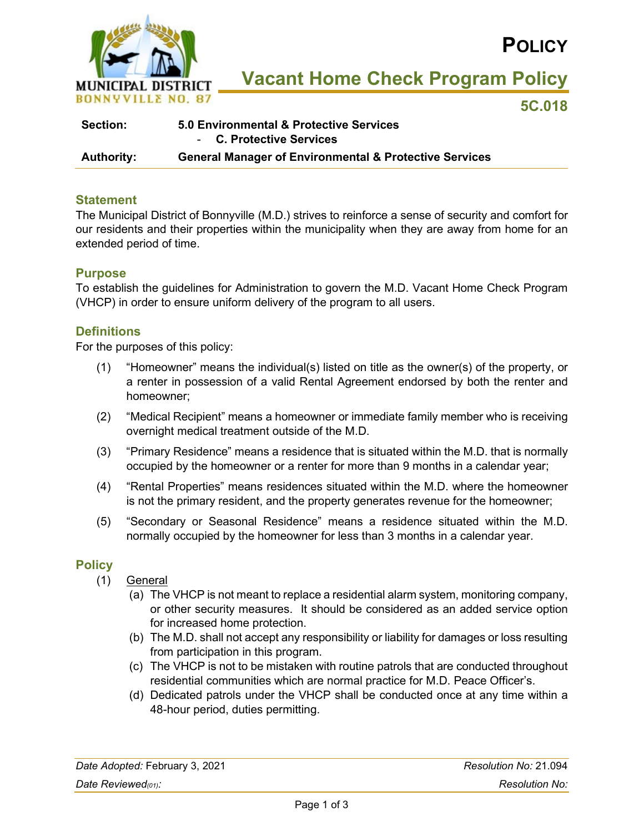

**POLICY**

**Vacant Home Check Program Policy**

**5C.018**

| <b>Section:</b>   | 5.0 Environmental & Protective Services                           |
|-------------------|-------------------------------------------------------------------|
|                   | - C. Protective Services                                          |
| <b>Authority:</b> | <b>General Manager of Environmental &amp; Protective Services</b> |

## **Statement**

The Municipal District of Bonnyville (M.D.) strives to reinforce a sense of security and comfort for our residents and their properties within the municipality when they are away from home for an extended period of time.

## **Purpose**

To establish the guidelines for Administration to govern the M.D. Vacant Home Check Program (VHCP) in order to ensure uniform delivery of the program to all users.

## **Definitions**

For the purposes of this policy:

- (1) "Homeowner" means the individual(s) listed on title as the owner(s) of the property, or a renter in possession of a valid Rental Agreement endorsed by both the renter and homeowner;
- (2) "Medical Recipient" means a homeowner or immediate family member who is receiving overnight medical treatment outside of the M.D.
- (3) "Primary Residence" means a residence that is situated within the M.D. that is normally occupied by the homeowner or a renter for more than 9 months in a calendar year;
- (4) "Rental Properties" means residences situated within the M.D. where the homeowner is not the primary resident, and the property generates revenue for the homeowner;
- (5) "Secondary or Seasonal Residence" means a residence situated within the M.D. normally occupied by the homeowner for less than 3 months in a calendar year.

## **Policy**

- (1) General
	- (a) The VHCP is not meant to replace a residential alarm system, monitoring company, or other security measures. It should be considered as an added service option for increased home protection.
	- (b) The M.D. shall not accept any responsibility or liability for damages or loss resulting from participation in this program.
	- (c) The VHCP is not to be mistaken with routine patrols that are conducted throughout residential communities which are normal practice for M.D. Peace Officer's.
	- (d) Dedicated patrols under the VHCP shall be conducted once at any time within a 48-hour period, duties permitting.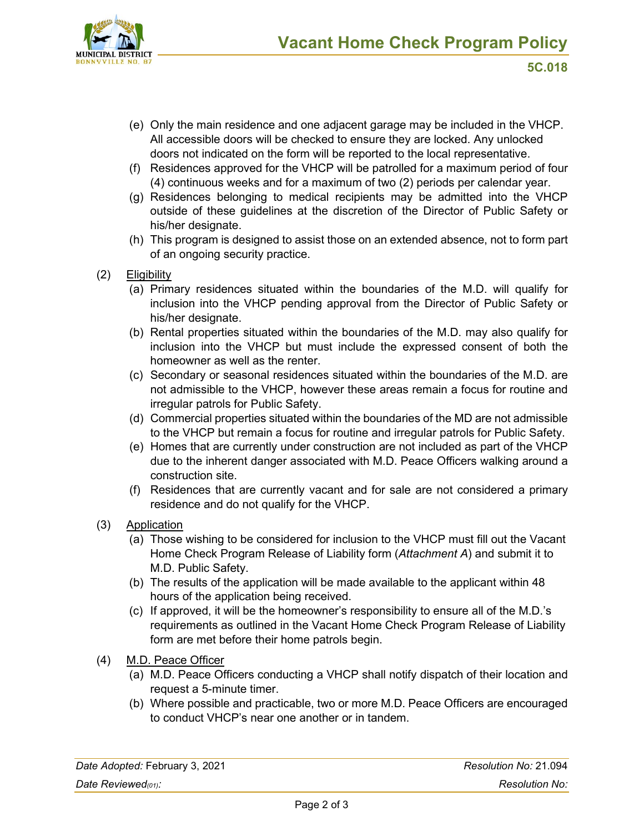

- (e) Only the main residence and one adjacent garage may be included in the VHCP. All accessible doors will be checked to ensure they are locked. Any unlocked doors not indicated on the form will be reported to the local representative.
- (f) Residences approved for the VHCP will be patrolled for a maximum period of four (4) continuous weeks and for a maximum of two (2) periods per calendar year.
- (g) Residences belonging to medical recipients may be admitted into the VHCP outside of these guidelines at the discretion of the Director of Public Safety or his/her designate.
- (h) This program is designed to assist those on an extended absence, not to form part of an ongoing security practice.
- (2) Eligibility
	- (a) Primary residences situated within the boundaries of the M.D. will qualify for inclusion into the VHCP pending approval from the Director of Public Safety or his/her designate.
	- (b) Rental properties situated within the boundaries of the M.D. may also qualify for inclusion into the VHCP but must include the expressed consent of both the homeowner as well as the renter.
	- (c) Secondary or seasonal residences situated within the boundaries of the M.D. are not admissible to the VHCP, however these areas remain a focus for routine and irregular patrols for Public Safety.
	- (d) Commercial properties situated within the boundaries of the MD are not admissible to the VHCP but remain a focus for routine and irregular patrols for Public Safety.
	- (e) Homes that are currently under construction are not included as part of the VHCP due to the inherent danger associated with M.D. Peace Officers walking around a construction site.
	- (f) Residences that are currently vacant and for sale are not considered a primary residence and do not qualify for the VHCP.
- (3) Application
	- (a) Those wishing to be considered for inclusion to the VHCP must fill out the Vacant Home Check Program Release of Liability form (*Attachment A*) and submit it to M.D. Public Safety.
	- (b) The results of the application will be made available to the applicant within 48 hours of the application being received.
	- (c) If approved, it will be the homeowner's responsibility to ensure all of the M.D.'s requirements as outlined in the Vacant Home Check Program Release of Liability form are met before their home patrols begin.
- (4) M.D. Peace Officer
	- (a) M.D. Peace Officers conducting a VHCP shall notify dispatch of their location and request a 5-minute timer.
	- (b) Where possible and practicable, two or more M.D. Peace Officers are encouraged to conduct VHCP's near one another or in tandem.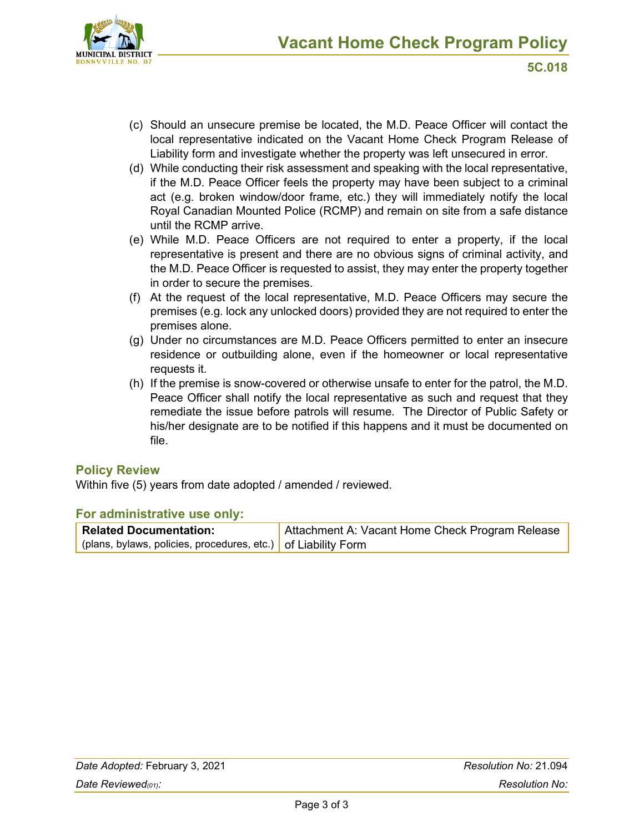

- (c) Should an unsecure premise be located, the M.D. Peace Officer will contact the local representative indicated on the Vacant Home Check Program Release of Liability form and investigate whether the property was left unsecured in error.
- (d) While conducting their risk assessment and speaking with the local representative, if the M.D. Peace Officer feels the property may have been subject to a criminal act (e.g. broken window/door frame, etc.) they will immediately notify the local Royal Canadian Mounted Police (RCMP) and remain on site from a safe distance until the RCMP arrive.
- (e) While M.D. Peace Officers are not required to enter a property, if the local representative is present and there are no obvious signs of criminal activity, and the M.D. Peace Officer is requested to assist, they may enter the property together in order to secure the premises.
- (f) At the request of the local representative, M.D. Peace Officers may secure the premises (e.g. lock any unlocked doors) provided they are not required to enter the premises alone.
- (g) Under no circumstances are M.D. Peace Officers permitted to enter an insecure residence or outbuilding alone, even if the homeowner or local representative requests it.
- (h) If the premise is snow-covered or otherwise unsafe to enter for the patrol, the M.D. Peace Officer shall notify the local representative as such and request that they remediate the issue before patrols will resume. The Director of Public Safety or his/her designate are to be notified if this happens and it must be documented on file.

# **Policy Review**

Within five (5) years from date adopted / amended / reviewed.

## **For administrative use only:**

| <b>Related Documentation:</b>                                 | Attachment A: Vacant Home Check Program Release |  |  |
|---------------------------------------------------------------|-------------------------------------------------|--|--|
| (plans, bylaws, policies, procedures, etc.) of Liability Form |                                                 |  |  |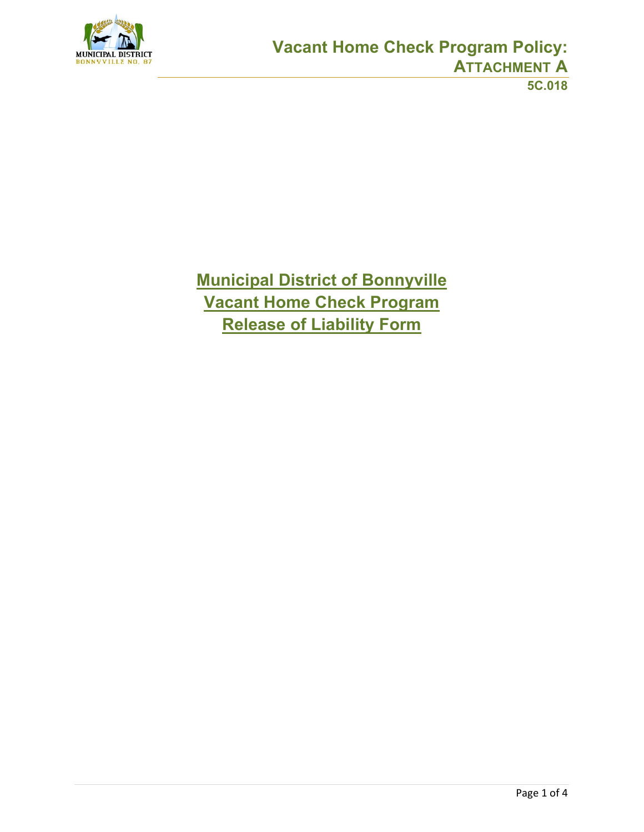

**Municipal District of Bonnyville Vacant Home Check Program Release of Liability Form**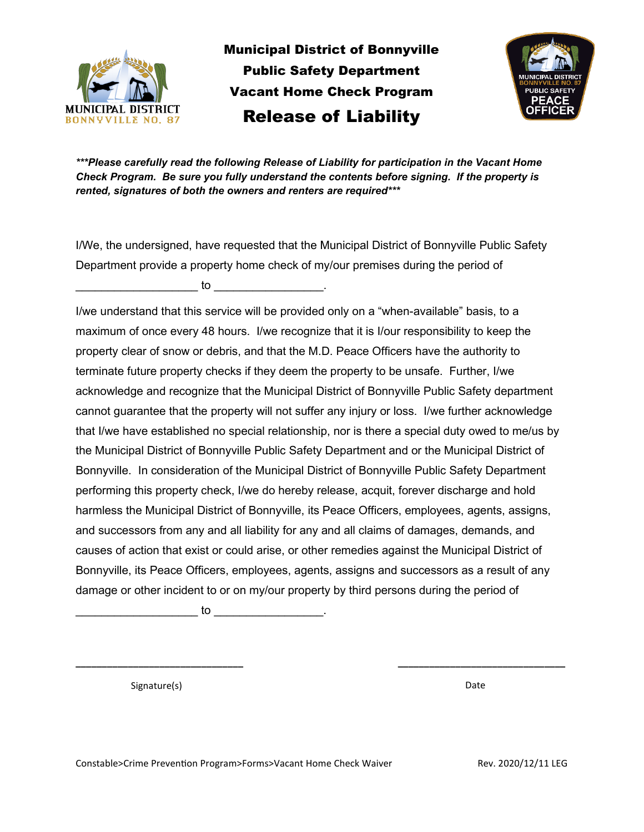

Municipal District of Bonnyville Public Safety Department Vacant Home Check Program Release of Liability



*\*\*\*Please carefully read the following Release of Liability for participation in the Vacant Home Check Program. Be sure you fully understand the contents before signing. If the property is rented, signatures of both the owners and renters are required\*\*\**

I/We, the undersigned, have requested that the Municipal District of Bonnyville Public Safety Department provide a property home check of my/our premises during the period of  $\mathsf{to}$  to  $\blacksquare$ 

I/we understand that this service will be provided only on a "when-available" basis, to a maximum of once every 48 hours. I/we recognize that it is I/our responsibility to keep the property clear of snow or debris, and that the M.D. Peace Officers have the authority to terminate future property checks if they deem the property to be unsafe. Further, I/we acknowledge and recognize that the Municipal District of Bonnyville Public Safety department cannot guarantee that the property will not suffer any injury or loss. I/we further acknowledge that I/we have established no special relationship, nor is there a special duty owed to me/us by the Municipal District of Bonnyville Public Safety Department and or the Municipal District of Bonnyville. In consideration of the Municipal District of Bonnyville Public Safety Department performing this property check, I/we do hereby release, acquit, forever discharge and hold harmless the Municipal District of Bonnyville, its Peace Officers, employees, agents, assigns, and successors from any and all liability for any and all claims of damages, demands, and causes of action that exist or could arise, or other remedies against the Municipal District of Bonnyville, its Peace Officers, employees, agents, assigns and successors as a result of any damage or other incident to or on my/our property by third persons during the period of

**\_\_\_\_\_\_\_\_\_\_\_\_\_\_\_\_\_\_\_\_\_\_\_\_\_\_\_\_\_\_\_\_ \_\_\_\_\_\_\_\_\_\_\_\_\_\_\_\_\_\_\_\_\_\_\_\_\_\_\_\_\_\_\_\_**

\_\_\_\_\_\_\_\_\_\_\_\_\_\_\_\_\_\_\_ to \_\_\_\_\_\_\_\_\_\_\_\_\_\_\_\_\_.

Signature(s) and the set of the set of the set of the set of the set of the Date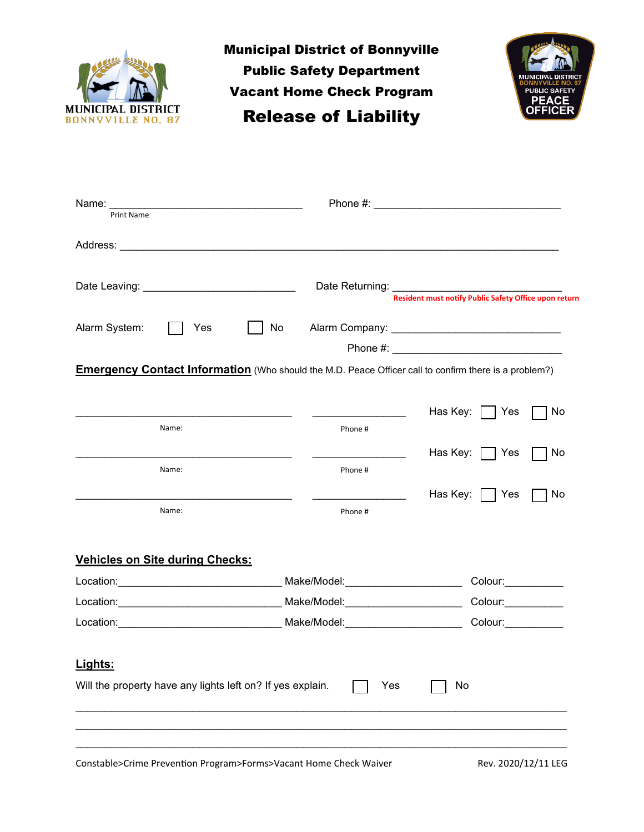

Municipal District of Bonnyville Public Safety Department Vacant Home Check Program Release of Liability



| Print Name                                                                                                   |                                       |                                                                              |
|--------------------------------------------------------------------------------------------------------------|---------------------------------------|------------------------------------------------------------------------------|
|                                                                                                              |                                       |                                                                              |
|                                                                                                              |                                       | Date Returning: <u>Resident must notify Public Safety Office upon return</u> |
| Alarm System:<br>Yes                                                                                         | No                                    |                                                                              |
| <b>Emergency Contact Information</b> (Who should the M.D. Peace Officer call to confirm there is a problem?) |                                       |                                                                              |
|                                                                                                              |                                       | Has Key: $ $   Yes<br>No                                                     |
| Name:                                                                                                        | Phone #                               |                                                                              |
|                                                                                                              |                                       | Has Key:     Yes<br>No                                                       |
| Name:                                                                                                        | Phone #                               |                                                                              |
| Name:                                                                                                        | Phone #                               | Has Key: $ $   Yes<br>No                                                     |
| <b>Vehicles on Site during Checks:</b>                                                                       |                                       |                                                                              |
|                                                                                                              | Make/Model:__________________________ | Colour:___________                                                           |
|                                                                                                              |                                       | Colour: Colour:                                                              |
|                                                                                                              |                                       | Colour: Colour:                                                              |
| Lights:<br>Will the property have any lights left on? If yes explain.                                        | Yes                                   | No                                                                           |
|                                                                                                              |                                       |                                                                              |

Constable>Crime Prevention Program>Forms>Vacant Home Check Waiver Rev. 2020/12/11 LEG